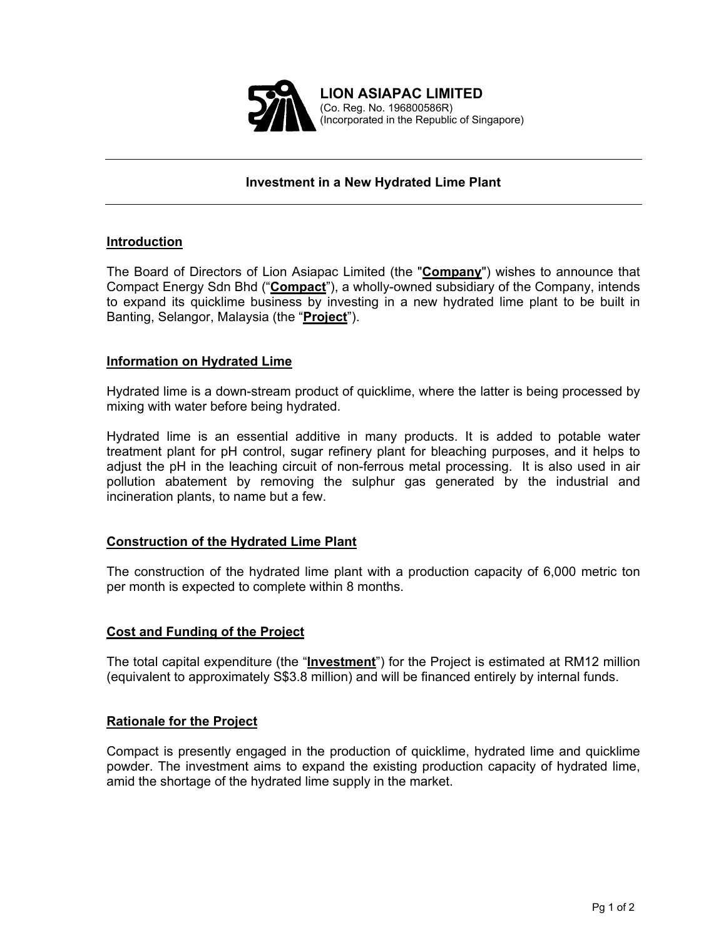

# **Investment in a New Hydrated Lime Plant**

## **Introduction**

The Board of Directors of Lion Asiapac Limited (the "**Company**") wishes to announce that Compact Energy Sdn Bhd ("**Compact**"), a wholly-owned subsidiary of the Company, intends to expand its quicklime business by investing in a new hydrated lime plant to be built in Banting, Selangor, Malaysia (the "**Project**").

## **Information on Hydrated Lime**

Hydrated lime is a down-stream product of quicklime, where the latter is being processed by mixing with water before being hydrated.

Hydrated lime is an essential additive in many products. It is added to potable water treatment plant for pH control, sugar refinery plant for bleaching purposes, and it helps to adjust the pH in the leaching circuit of non-ferrous metal processing. It is also used in air pollution abatement by removing the sulphur gas generated by the industrial and incineration plants, to name but a few.

### **Construction of the Hydrated Lime Plant**

The construction of the hydrated lime plant with a production capacity of 6,000 metric ton per month is expected to complete within 8 months.

### **Cost and Funding of the Project**

The total capital expenditure (the "**Investment**") for the Project is estimated at RM12 million (equivalent to approximately S\$3.8 million) and will be financed entirely by internal funds.

### **Rationale for the Project**

Compact is presently engaged in the production of quicklime, hydrated lime and quicklime powder. The investment aims to expand the existing production capacity of hydrated lime, amid the shortage of the hydrated lime supply in the market.